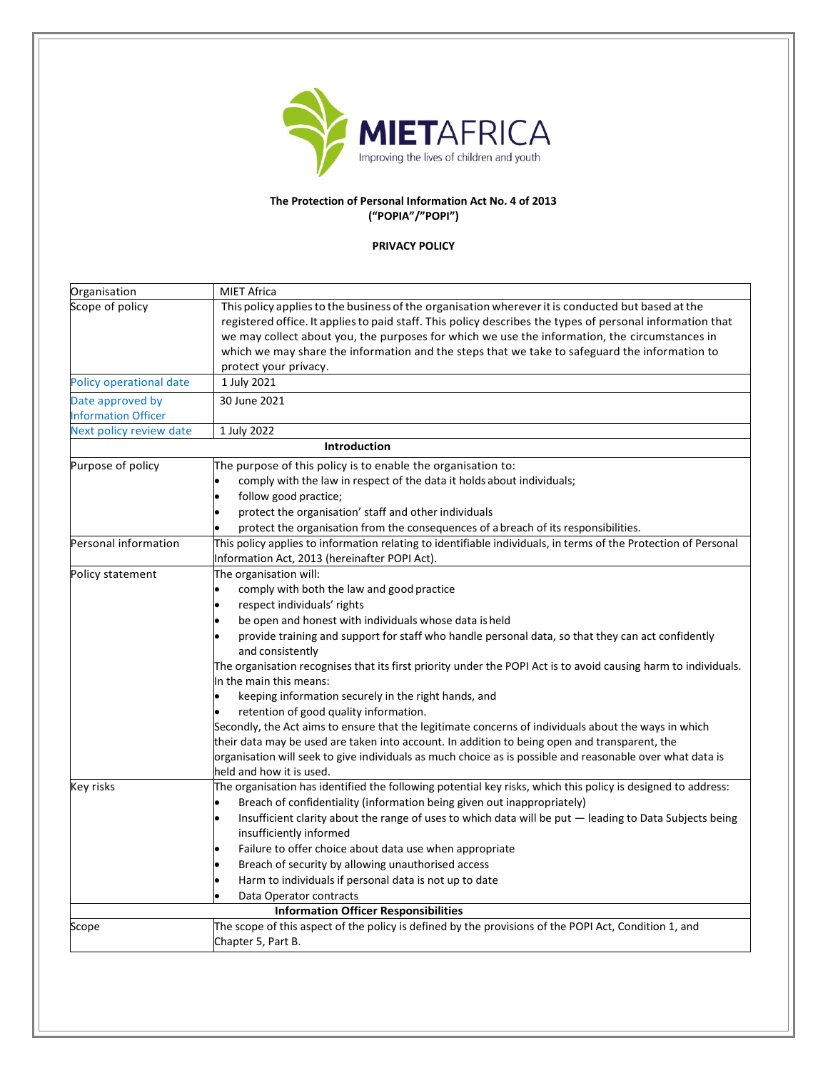

## **The Protection of Personal Information Act No. 4 of 2013 ("POPIA"/"POPI")**

## **PRIVACY POLICY**

| Organisation               | <b>MIET Africa</b>                                                                                                                                                                                                                                                                                                                             |
|----------------------------|------------------------------------------------------------------------------------------------------------------------------------------------------------------------------------------------------------------------------------------------------------------------------------------------------------------------------------------------|
| Scope of policy            | This policy applies to the business of the organisation wherever it is conducted but based at the<br>registered office. It applies to paid staff. This policy describes the types of personal information that<br>we may collect about you, the purposes for which we use the information, the circumstances in                                |
|                            | which we may share the information and the steps that we take to safeguard the information to<br>protect your privacy.                                                                                                                                                                                                                         |
| Policy operational date    | 1 July 2021                                                                                                                                                                                                                                                                                                                                    |
| Date approved by           | 30 June 2021                                                                                                                                                                                                                                                                                                                                   |
| <b>Information Officer</b> |                                                                                                                                                                                                                                                                                                                                                |
| Next policy review date    | 1 July 2022                                                                                                                                                                                                                                                                                                                                    |
|                            | <b>Introduction</b>                                                                                                                                                                                                                                                                                                                            |
| Purpose of policy          | The purpose of this policy is to enable the organisation to:                                                                                                                                                                                                                                                                                   |
|                            | comply with the law in respect of the data it holds about individuals;                                                                                                                                                                                                                                                                         |
|                            | follow good practice;                                                                                                                                                                                                                                                                                                                          |
|                            | protect the organisation' staff and other individuals                                                                                                                                                                                                                                                                                          |
|                            | protect the organisation from the consequences of a breach of its responsibilities.                                                                                                                                                                                                                                                            |
| Personal information       | This policy applies to information relating to identifiable individuals, in terms of the Protection of Personal<br>Information Act, 2013 (hereinafter POPI Act).                                                                                                                                                                               |
| Policy statement           | The organisation will:                                                                                                                                                                                                                                                                                                                         |
|                            | comply with both the law and good practice                                                                                                                                                                                                                                                                                                     |
|                            | respect individuals' rights                                                                                                                                                                                                                                                                                                                    |
|                            | be open and honest with individuals whose data is held                                                                                                                                                                                                                                                                                         |
|                            | provide training and support for staff who handle personal data, so that they can act confidently<br>and consistently                                                                                                                                                                                                                          |
|                            | The organisation recognises that its first priority under the POPI Act is to avoid causing harm to individuals.<br>In the main this means:                                                                                                                                                                                                     |
|                            | keeping information securely in the right hands, and                                                                                                                                                                                                                                                                                           |
|                            | retention of good quality information.                                                                                                                                                                                                                                                                                                         |
|                            | Secondly, the Act aims to ensure that the legitimate concerns of individuals about the ways in which<br>their data may be used are taken into account. In addition to being open and transparent, the<br>organisation will seek to give individuals as much choice as is possible and reasonable over what data is<br>held and how it is used. |
| Key risks                  | The organisation has identified the following potential key risks, which this policy is designed to address:<br>Breach of confidentiality (information being given out inappropriately)<br>Insufficient clarity about the range of uses to which data will be put - leading to Data Subjects being                                             |
|                            | insufficiently informed                                                                                                                                                                                                                                                                                                                        |
|                            | Failure to offer choice about data use when appropriate                                                                                                                                                                                                                                                                                        |
|                            | Breach of security by allowing unauthorised access                                                                                                                                                                                                                                                                                             |
|                            | Harm to individuals if personal data is not up to date                                                                                                                                                                                                                                                                                         |
|                            | Data Operator contracts                                                                                                                                                                                                                                                                                                                        |
|                            | <b>Information Officer Responsibilities</b>                                                                                                                                                                                                                                                                                                    |
| Scope                      | The scope of this aspect of the policy is defined by the provisions of the POPI Act, Condition 1, and<br>Chapter 5, Part B.                                                                                                                                                                                                                    |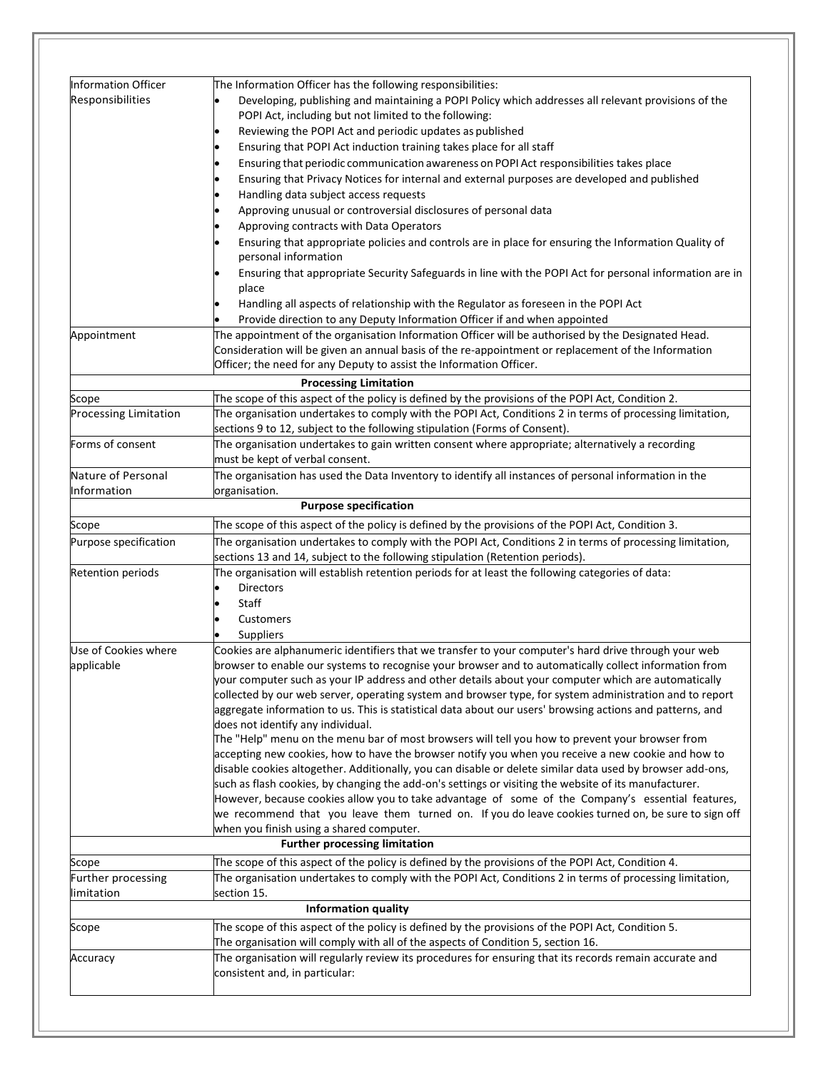| Information Officer          | The Information Officer has the following responsibilities:                                                                                                                                             |
|------------------------------|---------------------------------------------------------------------------------------------------------------------------------------------------------------------------------------------------------|
| Responsibilities             | Developing, publishing and maintaining a POPI Policy which addresses all relevant provisions of the                                                                                                     |
|                              | POPI Act, including but not limited to the following:                                                                                                                                                   |
|                              | Reviewing the POPI Act and periodic updates as published                                                                                                                                                |
|                              | Ensuring that POPI Act induction training takes place for all staff                                                                                                                                     |
|                              | Ensuring that periodic communication awareness on POPI Act responsibilities takes place                                                                                                                 |
|                              | Ensuring that Privacy Notices for internal and external purposes are developed and published                                                                                                            |
|                              | Handling data subject access requests                                                                                                                                                                   |
|                              |                                                                                                                                                                                                         |
|                              | Approving unusual or controversial disclosures of personal data                                                                                                                                         |
|                              | Approving contracts with Data Operators<br>Ensuring that appropriate policies and controls are in place for ensuring the Information Quality of                                                         |
|                              | personal information                                                                                                                                                                                    |
|                              | Ensuring that appropriate Security Safeguards in line with the POPI Act for personal information are in<br>place                                                                                        |
|                              | Handling all aspects of relationship with the Regulator as foreseen in the POPI Act                                                                                                                     |
|                              | Provide direction to any Deputy Information Officer if and when appointed                                                                                                                               |
| Appointment                  | The appointment of the organisation Information Officer will be authorised by the Designated Head.                                                                                                      |
|                              | Consideration will be given an annual basis of the re-appointment or replacement of the Information                                                                                                     |
|                              | Officer; the need for any Deputy to assist the Information Officer.                                                                                                                                     |
|                              |                                                                                                                                                                                                         |
|                              | <b>Processing Limitation</b>                                                                                                                                                                            |
| Scope                        | The scope of this aspect of the policy is defined by the provisions of the POPI Act, Condition 2.                                                                                                       |
| <b>Processing Limitation</b> | The organisation undertakes to comply with the POPI Act, Conditions 2 in terms of processing limitation,                                                                                                |
|                              | sections 9 to 12, subject to the following stipulation (Forms of Consent).                                                                                                                              |
| Forms of consent             | The organisation undertakes to gain written consent where appropriate; alternatively a recording                                                                                                        |
|                              | must be kept of verbal consent.                                                                                                                                                                         |
| Nature of Personal           | The organisation has used the Data Inventory to identify all instances of personal information in the                                                                                                   |
| Information                  | organisation.<br><b>Purpose specification</b>                                                                                                                                                           |
| Scope                        | The scope of this aspect of the policy is defined by the provisions of the POPI Act, Condition 3.                                                                                                       |
| Purpose specification        | The organisation undertakes to comply with the POPI Act, Conditions 2 in terms of processing limitation,                                                                                                |
|                              | sections 13 and 14, subject to the following stipulation (Retention periods).                                                                                                                           |
| <b>Retention periods</b>     | The organisation will establish retention periods for at least the following categories of data:                                                                                                        |
|                              | <b>Directors</b>                                                                                                                                                                                        |
|                              | Staff                                                                                                                                                                                                   |
|                              |                                                                                                                                                                                                         |
|                              | Customers                                                                                                                                                                                               |
|                              | Suppliers                                                                                                                                                                                               |
| Use of Cookies where         | Cookies are alphanumeric identifiers that we transfer to your computer's hard drive through your web                                                                                                    |
| applicable                   | browser to enable our systems to recognise your browser and to automatically collect information from                                                                                                   |
|                              | your computer such as your IP address and other details about your computer which are automatically                                                                                                     |
|                              | collected by our web server, operating system and browser type, for system administration and to report                                                                                                 |
|                              | aggregate information to us. This is statistical data about our users' browsing actions and patterns, and                                                                                               |
|                              | does not identify any individual.                                                                                                                                                                       |
|                              | The "Help" menu on the menu bar of most browsers will tell you how to prevent your browser from                                                                                                         |
|                              | accepting new cookies, how to have the browser notify you when you receive a new cookie and how to                                                                                                      |
|                              | disable cookies altogether. Additionally, you can disable or delete similar data used by browser add-ons,                                                                                               |
|                              | such as flash cookies, by changing the add-on's settings or visiting the website of its manufacturer.                                                                                                   |
|                              | However, because cookies allow you to take advantage of some of the Company's essential features,<br>we recommend that you leave them turned on. If you do leave cookies turned on, be sure to sign off |
|                              | when you finish using a shared computer.                                                                                                                                                                |
|                              | <b>Further processing limitation</b>                                                                                                                                                                    |
| Scope                        | The scope of this aspect of the policy is defined by the provisions of the POPI Act, Condition 4.                                                                                                       |
| Further processing           | The organisation undertakes to comply with the POPI Act, Conditions 2 in terms of processing limitation,                                                                                                |
| limitation                   | section 15.                                                                                                                                                                                             |
|                              | <b>Information quality</b>                                                                                                                                                                              |
| Scope                        | The scope of this aspect of the policy is defined by the provisions of the POPI Act, Condition 5.                                                                                                       |
|                              | The organisation will comply with all of the aspects of Condition 5, section 16.                                                                                                                        |
|                              | The organisation will regularly review its procedures for ensuring that its records remain accurate and                                                                                                 |
|                              |                                                                                                                                                                                                         |
| Accuracy                     | consistent and, in particular:                                                                                                                                                                          |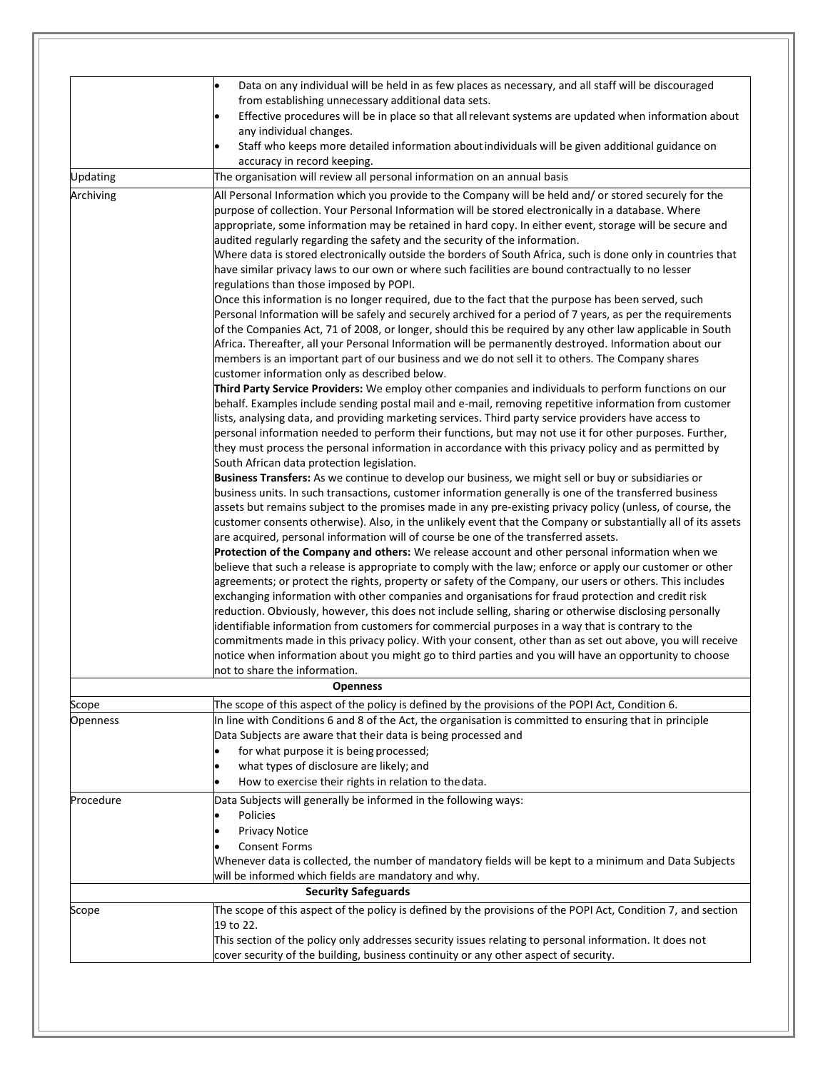|                 | Data on any individual will be held in as few places as necessary, and all staff will be discouraged<br>from establishing unnecessary additional data sets.<br>Effective procedures will be in place so that all relevant systems are updated when information about<br>any individual changes.<br>Staff who keeps more detailed information about individuals will be given additional guidance on                                                                                                                                                                                                                                                                                                                                                                                                                                                                                                                                                                                                                                                                                                                                                                                                                                                                                                                                                                                                                                                                                                                                                                                                                                                                                                                                                                                                                                                                                                                                                                                                                                                                                                                                                                                                    |
|-----------------|--------------------------------------------------------------------------------------------------------------------------------------------------------------------------------------------------------------------------------------------------------------------------------------------------------------------------------------------------------------------------------------------------------------------------------------------------------------------------------------------------------------------------------------------------------------------------------------------------------------------------------------------------------------------------------------------------------------------------------------------------------------------------------------------------------------------------------------------------------------------------------------------------------------------------------------------------------------------------------------------------------------------------------------------------------------------------------------------------------------------------------------------------------------------------------------------------------------------------------------------------------------------------------------------------------------------------------------------------------------------------------------------------------------------------------------------------------------------------------------------------------------------------------------------------------------------------------------------------------------------------------------------------------------------------------------------------------------------------------------------------------------------------------------------------------------------------------------------------------------------------------------------------------------------------------------------------------------------------------------------------------------------------------------------------------------------------------------------------------------------------------------------------------------------------------------------------------|
|                 | accuracy in record keeping.                                                                                                                                                                                                                                                                                                                                                                                                                                                                                                                                                                                                                                                                                                                                                                                                                                                                                                                                                                                                                                                                                                                                                                                                                                                                                                                                                                                                                                                                                                                                                                                                                                                                                                                                                                                                                                                                                                                                                                                                                                                                                                                                                                            |
| <b>Updating</b> | The organisation will review all personal information on an annual basis                                                                                                                                                                                                                                                                                                                                                                                                                                                                                                                                                                                                                                                                                                                                                                                                                                                                                                                                                                                                                                                                                                                                                                                                                                                                                                                                                                                                                                                                                                                                                                                                                                                                                                                                                                                                                                                                                                                                                                                                                                                                                                                               |
| Archiving       | All Personal Information which you provide to the Company will be held and/ or stored securely for the<br>purpose of collection. Your Personal Information will be stored electronically in a database. Where<br>appropriate, some information may be retained in hard copy. In either event, storage will be secure and<br>audited regularly regarding the safety and the security of the information.<br>Where data is stored electronically outside the borders of South Africa, such is done only in countries that<br>have similar privacy laws to our own or where such facilities are bound contractually to no lesser<br>regulations than those imposed by POPI.<br>Once this information is no longer required, due to the fact that the purpose has been served, such<br>Personal Information will be safely and securely archived for a period of 7 years, as per the requirements<br>of the Companies Act, 71 of 2008, or longer, should this be required by any other law applicable in South<br>Africa. Thereafter, all your Personal Information will be permanently destroyed. Information about our<br>members is an important part of our business and we do not sell it to others. The Company shares<br>customer information only as described below.<br>Third Party Service Providers: We employ other companies and individuals to perform functions on our<br>behalf. Examples include sending postal mail and e-mail, removing repetitive information from customer<br>lists, analysing data, and providing marketing services. Third party service providers have access to<br>personal information needed to perform their functions, but may not use it for other purposes. Further,<br>they must process the personal information in accordance with this privacy policy and as permitted by<br>South African data protection legislation.<br>Business Transfers: As we continue to develop our business, we might sell or buy or subsidiaries or<br>business units. In such transactions, customer information generally is one of the transferred business<br>assets but remains subject to the promises made in any pre-existing privacy policy (unless, of course, the |
|                 | customer consents otherwise). Also, in the unlikely event that the Company or substantially all of its assets<br>are acquired, personal information will of course be one of the transferred assets.<br>Protection of the Company and others: We release account and other personal information when we<br>believe that such a release is appropriate to comply with the law; enforce or apply our customer or other<br>agreements; or protect the rights, property or safety of the Company, our users or others. This includes<br>exchanging information with other companies and organisations for fraud protection and credit risk<br>reduction. Obviously, however, this does not include selling, sharing or otherwise disclosing personally<br>identifiable information from customers for commercial purposes in a way that is contrary to the<br>commitments made in this privacy policy. With your consent, other than as set out above, you will receive<br>notice when information about you might go to third parties and you will have an opportunity to choose<br>not to share the information.                                                                                                                                                                                                                                                                                                                                                                                                                                                                                                                                                                                                                                                                                                                                                                                                                                                                                                                                                                                                                                                                                         |
|                 | <b>Openness</b>                                                                                                                                                                                                                                                                                                                                                                                                                                                                                                                                                                                                                                                                                                                                                                                                                                                                                                                                                                                                                                                                                                                                                                                                                                                                                                                                                                                                                                                                                                                                                                                                                                                                                                                                                                                                                                                                                                                                                                                                                                                                                                                                                                                        |
| Scope           | The scope of this aspect of the policy is defined by the provisions of the POPI Act, Condition 6.                                                                                                                                                                                                                                                                                                                                                                                                                                                                                                                                                                                                                                                                                                                                                                                                                                                                                                                                                                                                                                                                                                                                                                                                                                                                                                                                                                                                                                                                                                                                                                                                                                                                                                                                                                                                                                                                                                                                                                                                                                                                                                      |
| Openness        | In line with Conditions 6 and 8 of the Act, the organisation is committed to ensuring that in principle<br>Data Subjects are aware that their data is being processed and<br>for what purpose it is being processed;<br>what types of disclosure are likely; and<br>How to exercise their rights in relation to the data.                                                                                                                                                                                                                                                                                                                                                                                                                                                                                                                                                                                                                                                                                                                                                                                                                                                                                                                                                                                                                                                                                                                                                                                                                                                                                                                                                                                                                                                                                                                                                                                                                                                                                                                                                                                                                                                                              |
| Procedure       | Data Subjects will generally be informed in the following ways:<br>Policies<br><b>Privacy Notice</b><br><b>Consent Forms</b><br>Whenever data is collected, the number of mandatory fields will be kept to a minimum and Data Subjects<br>will be informed which fields are mandatory and why.<br><b>Security Safeguards</b>                                                                                                                                                                                                                                                                                                                                                                                                                                                                                                                                                                                                                                                                                                                                                                                                                                                                                                                                                                                                                                                                                                                                                                                                                                                                                                                                                                                                                                                                                                                                                                                                                                                                                                                                                                                                                                                                           |
| Scope           | The scope of this aspect of the policy is defined by the provisions of the POPI Act, Condition 7, and section                                                                                                                                                                                                                                                                                                                                                                                                                                                                                                                                                                                                                                                                                                                                                                                                                                                                                                                                                                                                                                                                                                                                                                                                                                                                                                                                                                                                                                                                                                                                                                                                                                                                                                                                                                                                                                                                                                                                                                                                                                                                                          |
|                 | 19 to 22.<br>This section of the policy only addresses security issues relating to personal information. It does not<br>cover security of the building, business continuity or any other aspect of security.                                                                                                                                                                                                                                                                                                                                                                                                                                                                                                                                                                                                                                                                                                                                                                                                                                                                                                                                                                                                                                                                                                                                                                                                                                                                                                                                                                                                                                                                                                                                                                                                                                                                                                                                                                                                                                                                                                                                                                                           |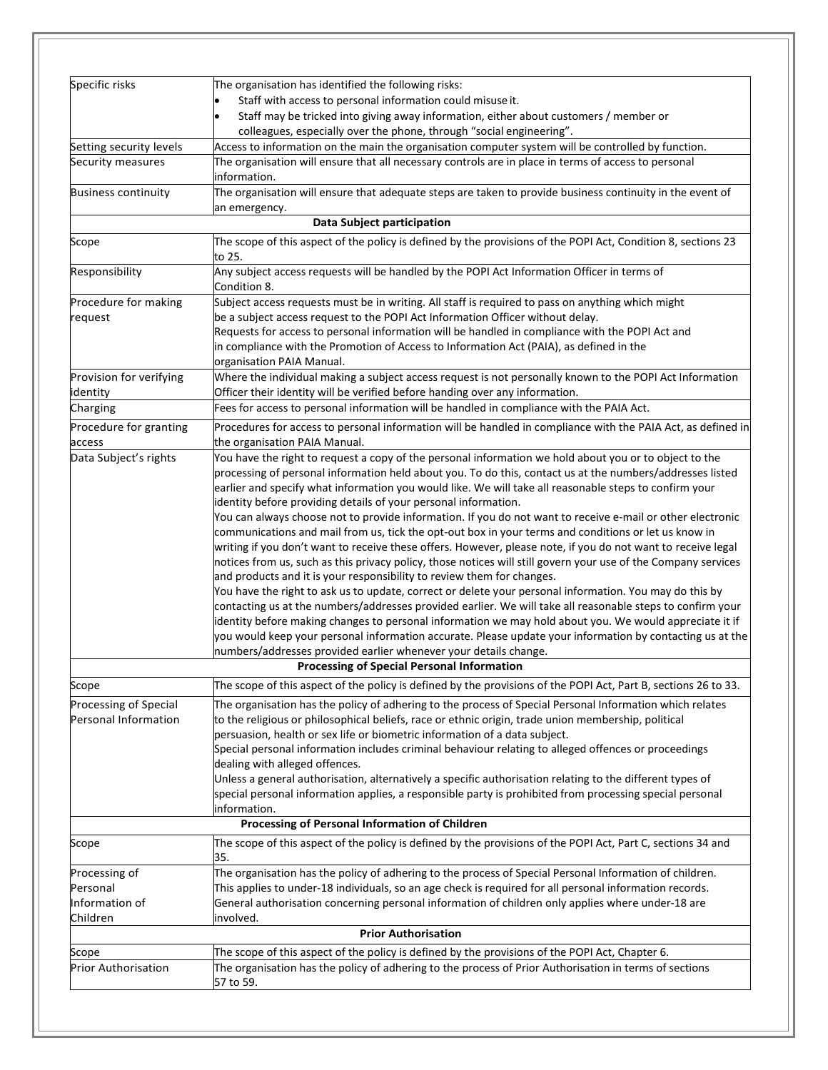|                            | colleagues, especially over the phone, through "social engineering".                                                                                                                                                  |
|----------------------------|-----------------------------------------------------------------------------------------------------------------------------------------------------------------------------------------------------------------------|
| Setting security levels    | Access to information on the main the organisation computer system will be controlled by function.                                                                                                                    |
| Security measures          | The organisation will ensure that all necessary controls are in place in terms of access to personal<br>information.                                                                                                  |
| <b>Business continuity</b> | The organisation will ensure that adequate steps are taken to provide business continuity in the event of<br>an emergency.                                                                                            |
|                            | <b>Data Subject participation</b>                                                                                                                                                                                     |
| Scope                      | The scope of this aspect of the policy is defined by the provisions of the POPI Act, Condition 8, sections 23<br>to 25.                                                                                               |
| Responsibility             | Any subject access requests will be handled by the POPI Act Information Officer in terms of<br>Condition 8.                                                                                                           |
| Procedure for making       | Subject access requests must be in writing. All staff is required to pass on anything which might                                                                                                                     |
| request                    | be a subject access request to the POPI Act Information Officer without delay.                                                                                                                                        |
|                            | Requests for access to personal information will be handled in compliance with the POPI Act and                                                                                                                       |
|                            | in compliance with the Promotion of Access to Information Act (PAIA), as defined in the<br>organisation PAIA Manual.                                                                                                  |
| Provision for verifying    | Where the individual making a subject access request is not personally known to the POPI Act Information                                                                                                              |
| identity                   | Officer their identity will be verified before handing over any information.                                                                                                                                          |
| Charging                   | Fees for access to personal information will be handled in compliance with the PAIA Act.                                                                                                                              |
| Procedure for granting     | Procedures for access to personal information will be handled in compliance with the PAIA Act, as defined in                                                                                                          |
| access                     | the organisation PAIA Manual.                                                                                                                                                                                         |
| Data Subject's rights      | You have the right to request a copy of the personal information we hold about you or to object to the                                                                                                                |
|                            | processing of personal information held about you. To do this, contact us at the numbers/addresses listed                                                                                                             |
|                            | earlier and specify what information you would like. We will take all reasonable steps to confirm your                                                                                                                |
|                            | identity before providing details of your personal information.<br>You can always choose not to provide information. If you do not want to receive e-mail or other electronic                                         |
|                            | communications and mail from us, tick the opt-out box in your terms and conditions or let us know in                                                                                                                  |
|                            | writing if you don't want to receive these offers. However, please note, if you do not want to receive legal                                                                                                          |
|                            | notices from us, such as this privacy policy, those notices will still govern your use of the Company services                                                                                                        |
|                            | and products and it is your responsibility to review them for changes.                                                                                                                                                |
|                            | You have the right to ask us to update, correct or delete your personal information. You may do this by<br>contacting us at the numbers/addresses provided earlier. We will take all reasonable steps to confirm your |
|                            | identity before making changes to personal information we may hold about you. We would appreciate it if                                                                                                               |
|                            | you would keep your personal information accurate. Please update your information by contacting us at the                                                                                                             |
|                            | numbers/addresses provided earlier whenever your details change.                                                                                                                                                      |
|                            | Processing of Special Personal Information                                                                                                                                                                            |
| Scope                      | The scope of this aspect of the policy is defined by the provisions of the POPI Act, Part B, sections 26 to 33.                                                                                                       |
| Processing of Special      | The organisation has the policy of adhering to the process of Special Personal Information which relates                                                                                                              |
| Personal Information       | to the religious or philosophical beliefs, race or ethnic origin, trade union membership, political                                                                                                                   |
|                            | persuasion, health or sex life or biometric information of a data subject.                                                                                                                                            |
|                            | Special personal information includes criminal behaviour relating to alleged offences or proceedings<br>dealing with alleged offences.                                                                                |
|                            | Unless a general authorisation, alternatively a specific authorisation relating to the different types of                                                                                                             |
|                            | special personal information applies, a responsible party is prohibited from processing special personal                                                                                                              |
|                            | information.                                                                                                                                                                                                          |
|                            | Processing of Personal Information of Children                                                                                                                                                                        |
| Scope                      | The scope of this aspect of the policy is defined by the provisions of the POPI Act, Part C, sections 34 and<br>35.                                                                                                   |
| Processing of              | The organisation has the policy of adhering to the process of Special Personal Information of children.                                                                                                               |
| Personal                   | This applies to under-18 individuals, so an age check is required for all personal information records.                                                                                                               |
| Information of             | General authorisation concerning personal information of children only applies where under-18 are                                                                                                                     |
| Children                   | involved.<br><b>Prior Authorisation</b>                                                                                                                                                                               |
| Scope                      | The scope of this aspect of the policy is defined by the provisions of the POPI Act, Chapter 6.                                                                                                                       |
| <b>Prior Authorisation</b> | The organisation has the policy of adhering to the process of Prior Authorisation in terms of sections                                                                                                                |
|                            |                                                                                                                                                                                                                       |